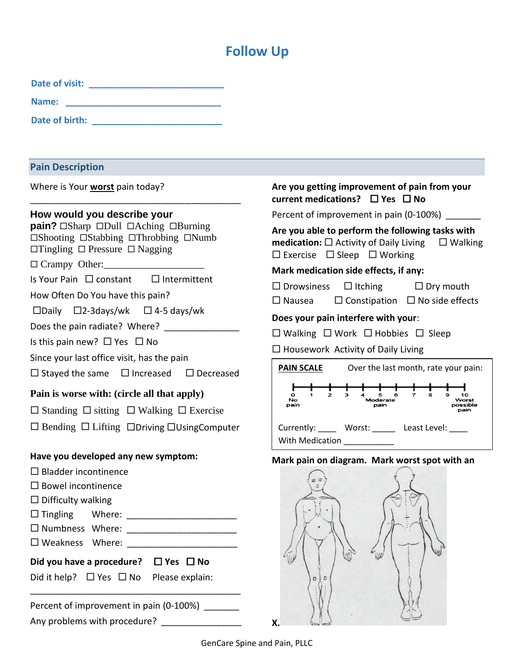# **Follow Up**

| Date of visit: |  |
|----------------|--|
| Name:          |  |
| Date of birth: |  |

## **Pain Description**

Where is Your **worst** pain today?

## **How would you describe your**

**pain?**  $\Box$ Sharp  $\Box$ Dull  $\Box$ Aching  $\Box$ Burning  $\square$ Shooting  $\square$ Stabbing  $\square$ Throbbing  $\square$ Numb  $\Box$ Tingling  $\Box$  Pressure  $\Box$  Nagging

\_\_\_\_\_\_\_\_\_\_\_\_\_\_\_\_\_\_\_\_\_\_\_\_\_\_\_\_\_\_\_\_\_\_\_\_\_\_\_\_\_\_

 $\Box$  Crampy Other:

Is Your Pain  $\Box$  constant  $\Box$  Intermittent

How Often Do You have this pain?

 $\square$ Daily  $\square$ 2-3days/wk  $\square$  4-5 days/wk

Does the pain radiate? Where?

Is this pain new?  $\Box$  Yes  $\Box$  No

Since your last office visit, has the pain

 $\Box$  Stayed the same  $\Box$  Increased  $\Box$  Decreased

## **Pain is worse with: (circle all that apply)**

 $\Box$  Standing  $\Box$  sitting  $\Box$  Walking  $\Box$  Exercise

 $\Box$  Bending  $\Box$  Lifting  $\Box$ Driving  $\Box$ UsingComputer

## **Have you developed any new symptom:**

- $\square$  Bladder incontinence
- $\square$  Bowel incontinence
- $\square$  Difficulty walking
- Tingling Where: \_\_\_\_\_\_\_\_\_\_\_\_\_\_\_\_\_\_\_\_\_\_
- Numbness Where: \_\_\_\_\_\_\_\_\_\_\_\_\_\_\_\_\_\_\_\_\_\_
- □ Weakness Where: \_\_\_\_\_\_\_\_\_\_\_\_\_\_\_\_
- Did you have a procedure?  $\Box$  Yes  $\Box$  No

Did it help?  $\Box$  Yes  $\Box$  No Please explain:

Percent of improvement in pain (0-100%) Any problems with procedure? \_\_\_\_\_\_\_\_\_\_\_\_\_\_\_\_\_

\_\_\_\_\_\_\_\_\_\_\_\_\_\_\_\_\_\_\_\_\_\_\_\_\_\_\_\_\_\_\_\_\_\_\_\_\_\_\_\_\_\_

## **Are you getting improvement of pain from your current medications?** □ Yes □ No

Percent of improvement in pain (0-100%)

## **Are you able to perform the following tasks with**

**medication:**  $\square$  Activity of Daily Living  $\square$  Walking  $\square$  Exercise  $\square$  Sleep  $\square$  Working

## **Mark medication side effects, if any:**

 $\Box$  Drowsiness  $\Box$  Itching  $\Box$  Dry mouth

 $\square$  Nausea  $\square$  Constipation  $\square$  No side effects

## **Does your pain interfere with your**:

 $\Box$  Walking  $\Box$  Work  $\Box$  Hobbies  $\Box$  Sleep

 $\Box$  Housework Activity of Daily Living



## **Mark pain on diagram. Mark worst spot with an**